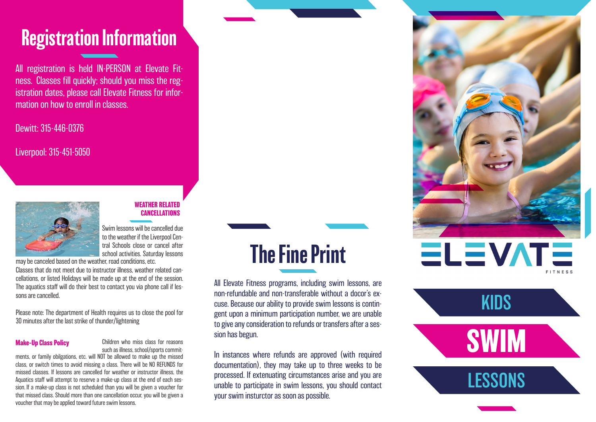### Registration Information

All registration is held IN-PERSON at Elevate Fitness. Classes fill quickly; should you miss the registration dates, please call Elevate Fitness for information on how to enroll in classes.

Dewitt: 315-446-0376

Liverpool: 315-451-5050



### **WEATHER RELATED CANCELLATIONS**

Swim lessons will be cancelled due to the weather if the Liverpool Central Schools close or cancel after school activities. Saturday lessons

may be canceled based on the weather, road conditions, etc. Classes that do not meet due to instructor illness, weather related cancellations, or listed Holidays will be made up at the end of the session. The aquatics staff will do their best to contact you via phone call if lessons are cancelled.

Please note: The department of Health requires us to close the pool for 30 minutes after the last strike of thunder/lightening

### **Make-Up Class Policy**

Children who miss class for reasons such as illness, school/sports commit-

ments, or family obilgations, etc. will NOT be allowed to make up the missed class, or switch times to avoid missing a class. There will be NO REFUNDS for missed classes. If lessons are cancelled for weather or instructor illness, the Aquatics staff will attempt to reserve a make-up class at the end of each session. If a make-up class is not scheduled than you will be given a voucher for that missed class. Should more than one cancellation occur, you will be given a voucher that may be applied toward future swim lessons.

## The Fine Print

All Elevate Fitness programs, including swim lessons, are non-refundable and non-transferable without a docor's excuse. Because our ability to provide swim lessons is contingent upon a minimum participation number, we are unable to give any consideration to refunds or transfers after a session has begun.

In instances where refunds are approved (with required documentation), they may take up to three weeks to be processed. If extenuating circumstances arise and you are unable to participate in swim lessons, you should contact your swim insturctor as soon as possible.



**SWIM**

**LESSONS** 

KIDS

**FITNES**